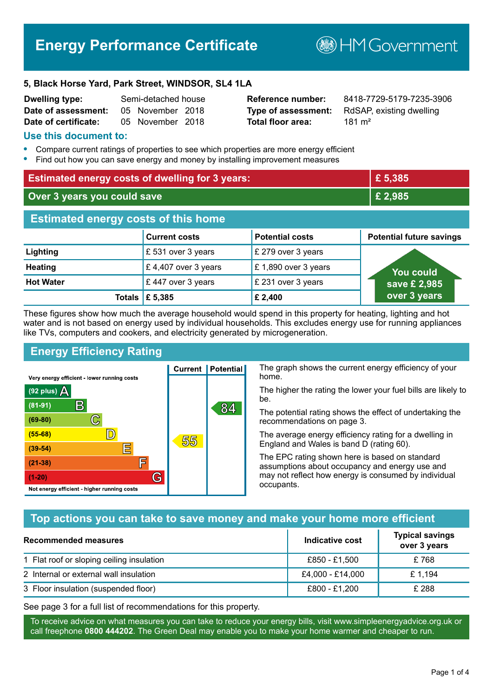# **Energy Performance Certificate**

**B**HM Government

#### **5, Black Horse Yard, Park Street, WINDSOR, SL4 1LA**

| <b>Dwelling type:</b> | Semi-detached house |  |
|-----------------------|---------------------|--|
| Date of assessment:   | 05 November 2018    |  |
| Date of certificate:  | 05 November 2018    |  |

# **Total floor area:** 181 m<sup>2</sup>

**Reference number:** 8418-7729-5179-7235-3906 **Type of assessment:** RdSAP, existing dwelling

#### **Use this document to:**

- **•** Compare current ratings of properties to see which properties are more energy efficient
- **•** Find out how you can save energy and money by installing improvement measures

| <b>Estimated energy costs of dwelling for 3 years:</b> |                           |                        | £5,385                          |
|--------------------------------------------------------|---------------------------|------------------------|---------------------------------|
| Over 3 years you could save                            |                           | £2,985                 |                                 |
| <b>Estimated energy costs of this home</b>             |                           |                        |                                 |
|                                                        | <b>Current costs</b>      | <b>Potential costs</b> | <b>Potential future savings</b> |
| Lighting                                               | £531 over 3 years         | £ 279 over 3 years     |                                 |
| <b>Heating</b>                                         | £4,407 over 3 years       | £1,890 over 3 years    | You could                       |
| <b>Hot Water</b>                                       | £447 over 3 years         | £ 231 over 3 years     | save £ 2,985                    |
|                                                        | Totals $\mathsf{E}$ 5,385 | £ 2,400                | over 3 years                    |

These figures show how much the average household would spend in this property for heating, lighting and hot water and is not based on energy used by individual households. This excludes energy use for running appliances like TVs, computers and cookers, and electricity generated by microgeneration.

**Current | Potential** 

55

# **Energy Efficiency Rating**

 $\mathbb{C}$ 

 $\mathbb{D}$ 

巨

庐

G

Very energy efficient - lower running costs

R

Not energy efficient - higher running costs

(92 plus)  $\Delta$ 

 $(81 - 91)$ 

 $(69 - 80)$ 

 $(55-68)$ 

 $(39 - 54)$ 

 $(21-38)$ 

 $(1-20)$ 

The graph shows the current energy efficiency of your home.

The higher the rating the lower your fuel bills are likely to be.

The potential rating shows the effect of undertaking the recommendations on page 3.

The average energy efficiency rating for a dwelling in England and Wales is band D (rating 60).

The EPC rating shown here is based on standard assumptions about occupancy and energy use and may not reflect how energy is consumed by individual occupants.

# **Top actions you can take to save money and make your home more efficient**

84

| <b>Recommended measures</b>               | Indicative cost  | <b>Typical savings</b><br>over 3 years |
|-------------------------------------------|------------------|----------------------------------------|
| 1 Flat roof or sloping ceiling insulation | £850 - £1.500    | £ 768                                  |
| 2 Internal or external wall insulation    | £4,000 - £14,000 | £ 1.194                                |
| 3 Floor insulation (suspended floor)      | £800 - £1,200    | £ 288                                  |

See page 3 for a full list of recommendations for this property.

To receive advice on what measures you can take to reduce your energy bills, visit www.simpleenergyadvice.org.uk or call freephone **0800 444202**. The Green Deal may enable you to make your home warmer and cheaper to run.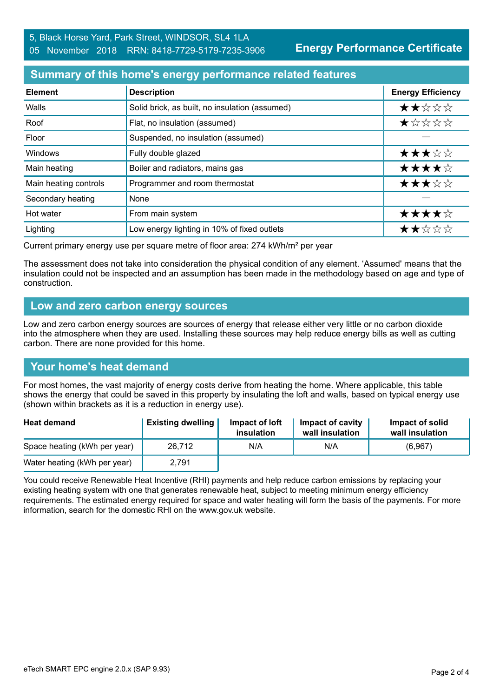**Energy Performance Certificate**

#### **Summary of this home's energy performance related features**

| <b>Element</b>        | <b>Description</b>                             | <b>Energy Efficiency</b> |
|-----------------------|------------------------------------------------|--------------------------|
| Walls                 | Solid brick, as built, no insulation (assumed) | ★★☆☆☆                    |
| Roof                  | Flat, no insulation (assumed)                  | *****                    |
| Floor                 | Suspended, no insulation (assumed)             |                          |
| <b>Windows</b>        | Fully double glazed                            | ★★★☆☆                    |
| Main heating          | Boiler and radiators, mains gas                | ★★★★☆                    |
| Main heating controls | Programmer and room thermostat                 | ★★★☆☆                    |
| Secondary heating     | None                                           |                          |
| Hot water             | From main system                               | ★★★★☆                    |
| Lighting              | Low energy lighting in 10% of fixed outlets    | ★★☆☆☆                    |

Current primary energy use per square metre of floor area: 274 kWh/m² per year

The assessment does not take into consideration the physical condition of any element. 'Assumed' means that the insulation could not be inspected and an assumption has been made in the methodology based on age and type of construction.

#### **Low and zero carbon energy sources**

Low and zero carbon energy sources are sources of energy that release either very little or no carbon dioxide into the atmosphere when they are used. Installing these sources may help reduce energy bills as well as cutting carbon. There are none provided for this home.

# **Your home's heat demand**

For most homes, the vast majority of energy costs derive from heating the home. Where applicable, this table shows the energy that could be saved in this property by insulating the loft and walls, based on typical energy use (shown within brackets as it is a reduction in energy use).

| <b>Heat demand</b>           | <b>Existing dwelling</b> | Impact of loft<br>insulation | Impact of cavity<br>wall insulation | Impact of solid<br>wall insulation |
|------------------------------|--------------------------|------------------------------|-------------------------------------|------------------------------------|
| Space heating (kWh per year) | 26,712                   | N/A                          | N/A                                 | (6,967)                            |
| Water heating (kWh per year) | 2,791                    |                              |                                     |                                    |

You could receive Renewable Heat Incentive (RHI) payments and help reduce carbon emissions by replacing your existing heating system with one that generates renewable heat, subject to meeting minimum energy efficiency requirements. The estimated energy required for space and water heating will form the basis of the payments. For more information, search for the domestic RHI on the www.gov.uk website.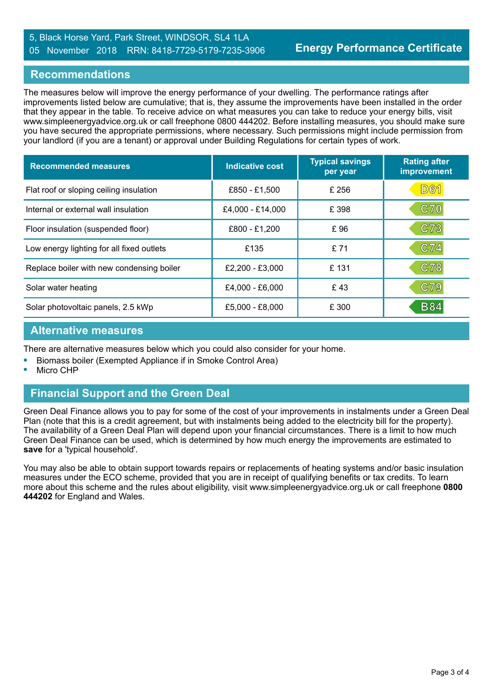#### 5, Black Horse Yard, Park Street, WINDSOR, SL4 1LA 05 November 2018 RRN: 8418-7729-5179-7235-3906

#### **Recommendations**

The measures below will improve the energy performance of your dwelling. The performance ratings after improvements listed below are cumulative; that is, they assume the improvements have been installed in the order that they appear in the table. To receive advice on what measures you can take to reduce your energy bills, visit www.simpleenergyadvice.org.uk or call freephone 0800 444202. Before installing measures, you should make sure you have secured the appropriate permissions, where necessary. Such permissions might include permission from your landlord (if you are a tenant) or approval under Building Regulations for certain types of work.

| <b>Recommended measures</b>               | Indicative cost   | <b>Typical savings</b><br>per year | <b>Rating after</b><br>improvement |
|-------------------------------------------|-------------------|------------------------------------|------------------------------------|
| Flat roof or sloping ceiling insulation   | £850 - £1,500     | £ 256                              | <b>D61</b>                         |
| Internal or external wall insulation      | £4,000 - £14,000  | £ 398                              | C70                                |
| Floor insulation (suspended floor)        | £800 - £1,200     | £96                                | C73                                |
| Low energy lighting for all fixed outlets | £135              | £71                                | C74                                |
| Replace boiler with new condensing boiler | $£2,200 - £3,000$ | £131                               | C78                                |
| Solar water heating                       | £4,000 - £6,000   | £43                                | C79                                |
| Solar photovoltaic panels, 2.5 kWp        | $£5,000 - £8,000$ | £ 300                              | <b>B84</b>                         |

#### **Alternative measures**

There are alternative measures below which you could also consider for your home.

- **•** Biomass boiler (Exempted Appliance if in Smoke Control Area)
- **•** Micro CHP

# **Financial Support and the Green Deal**

Green Deal Finance allows you to pay for some of the cost of your improvements in instalments under a Green Deal Plan (note that this is a credit agreement, but with instalments being added to the electricity bill for the property). The availability of a Green Deal Plan will depend upon your financial circumstances. There is a limit to how much Green Deal Finance can be used, which is determined by how much energy the improvements are estimated to **save** for a 'typical household'.

You may also be able to obtain support towards repairs or replacements of heating systems and/or basic insulation measures under the ECO scheme, provided that you are in receipt of qualifying benefits or tax credits. To learn more about this scheme and the rules about eligibility, visit www.simpleenergyadvice.org.uk or call freephone **0800 444202** for England and Wales.